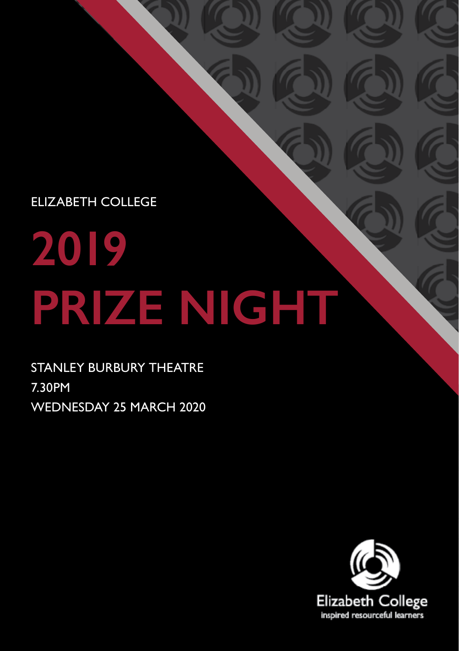ELIZABETH COLLEGE

# **2019 PRIZE NIGHT**

STANLEY BURBURY THEATRE 7.30PM WEDNESDAY 25 MARCH 2020

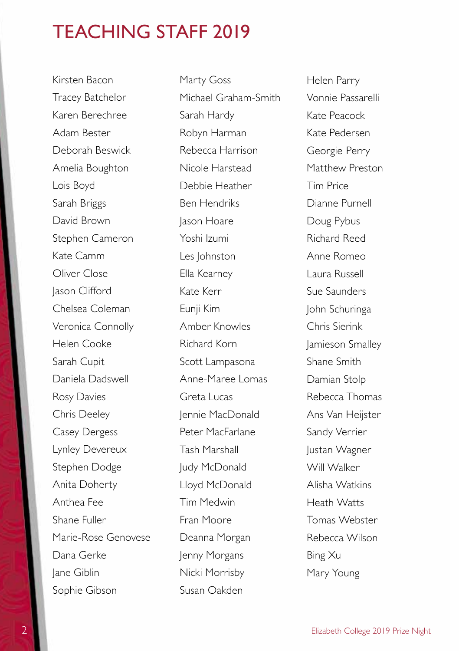### TEACHING STAFF 2019

Kirsten Bacon Tracey Batchelor Karen Berechree Adam Bester Deborah Beswick Amelia Boughton Lois Boyd Sarah Briggs David Brown Stephen Cameron Kate Camm Oliver Close Jason Clifford Chelsea Coleman Veronica Connolly Helen Cooke Sarah Cupit Daniela Dadswell Rosy Davies Chris Deeley Casey Dergess Lynley Devereux Stephen Dodge Anita Doherty Anthea Fee Shane Fuller Marie-Rose Genovese Dana Gerke Jane Giblin Sophie Gibson

Marty Goss Michael Graham-Smith Sarah Hardy Robyn Harman Rebecca Harrison Nicole Harstead Debbie Heather Ben Hendriks Jason Hoare Yoshi Izumi Les Johnston Ella Kearney Kate Kerr Eunji Kim Amber Knowles Richard Korn Scott Lampasona Anne-Maree Lomas Greta Lucas Jennie MacDonald Peter MacFarlane Tash Marshall Judy McDonald Lloyd McDonald Tim Medwin Fran Moore Deanna Morgan Jenny Morgans Nicki Morrisby Susan Oakden

Helen Parry Vonnie Passarelli Kate Peacock Kate Pedersen Georgie Perry Matthew Preston Tim Price Dianne Purnell Doug Pybus Richard Reed Anne Romeo Laura Russell Sue Saunders John Schuringa Chris Sierink Jamieson Smalley Shane Smith Damian Stolp Rebecca Thomas Ans Van Heijster Sandy Verrier Justan Wagner Will Walker Alisha Watkins Heath Watts Tomas Webster Rebecca Wilson Bing Xu Mary Young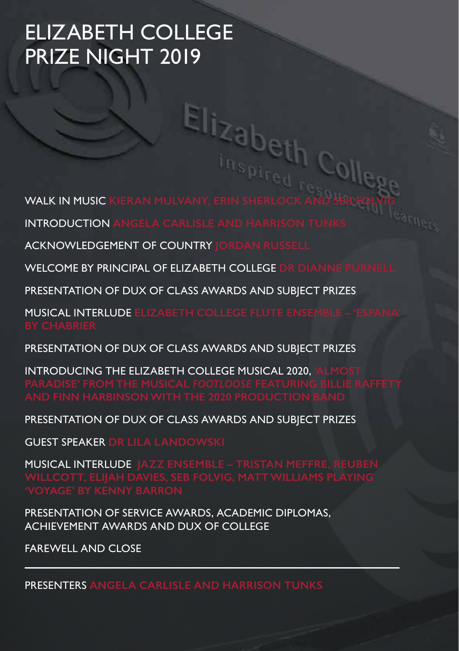# ELIZABETH COLLEGE PRIZE NIGHT 2019

WALK IN MUSIC KIERAN MULVANY, ERIN SHERLOCK AND SEB FOLVIG

INTRODUCTION **ANGELA CARLISLE AND HARRISON TUNKS**

ACKNOWLEDGEMENT OF COUNTRY **JORDAN RUSSELL**

WELCOME BY PRINCIPAL OF ELIZABETH COLLEGE **DR DIANNE PURNELL**

PRESENTATION OF DUX OF CLASS AWARDS AND SUBJECT PRIZES

**MUSICAL INTERLUDE ELIZABETH COLLEGE FLUTE EN** 

PRESENTATION OF DUX OF CLASS AWARDS AND SUBJECT PRIZES

**INTRODUCING THE ELIZABETH COLLEGE MUSICAL 2020.** 

PRESENTATION OF DUX OF CLASS AWARDS AND SUBJECT PRIZES

GUEST SPEAKER **DR LILA LANDOWSKI**

MUSICAL INTERLUDE **JAZZ ENSEMBLE – TRISTAN MEFFRE, REUBEN** 

PRESENTATION OF SERVICE AWARDS, ACADEMIC DIPLOMAS, ACHIEVEMENT AWARDS AND DUX OF COLLEGE

FAREWELL AND CLOSE

PRESENTERS **ANGELA CARLISLE AND HARRISON TUNKS**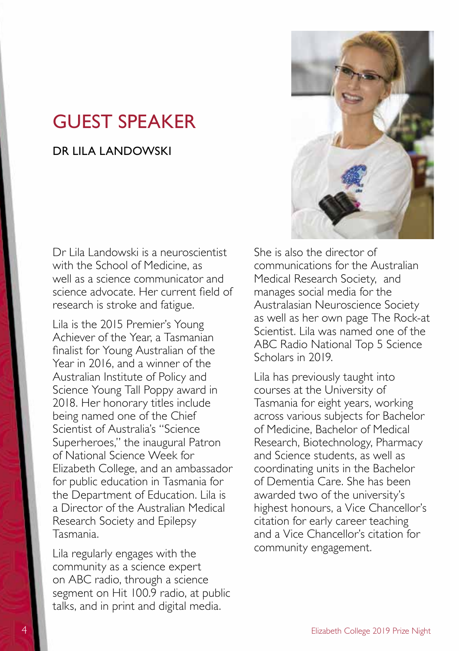### GUEST SPEAKER

#### DR I II A LANDOWSKI

Dr Lila Landowski is a neuroscientist with the School of Medicine, as well as a science communicator and science advocate. Her current field of research is stroke and fatigue.

Lila is the 2015 Premier's Young Achiever of the Year, a Tasmanian finalist for Young Australian of the Year in 2016, and a winner of the Australian Institute of Policy and Science Young Tall Poppy award in 2018. Her honorary titles include being named one of the Chief Scientist of Australia's "Science Superheroes," the inaugural Patron of National Science Week for Elizabeth College, and an ambassador for public education in Tasmania for the Department of Education. Lila is a Director of the Australian Medical Research Society and Epilepsy Tasmania.

Lila regularly engages with the community as a science expert on ABC radio, through a science segment on Hit 100.9 radio, at public talks, and in print and digital media.



She is also the director of communications for the Australian Medical Research Society, and manages social media for the Australasian Neuroscience Society as well as her own page The Rock-at Scientist. Lila was named one of the ABC Radio National Top 5 Science Scholars in 2019.

Lila has previously taught into courses at the University of Tasmania for eight years, working across various subjects for Bachelor of Medicine, Bachelor of Medical Research, Biotechnology, Pharmacy and Science students, as well as coordinating units in the Bachelor of Dementia Care. She has been awarded two of the university's highest honours, a Vice Chancellor's citation for early career teaching and a Vice Chancellor's citation for community engagement.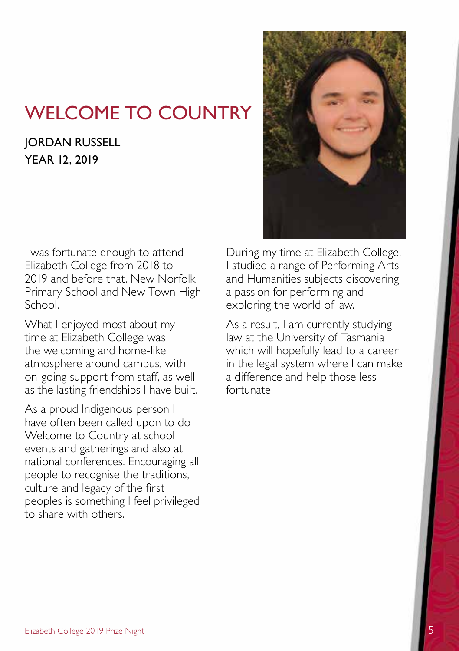# WELCOME TO COUNTRY

### **JORDAN RUSSELL** YEAR 12, 2019

I was fortunate enough to attend Elizabeth College from 2018 to 2019 and before that, New Norfolk Primary School and New Town High School.

What I enjoyed most about my time at Elizabeth College was the welcoming and home-like atmosphere around campus, with on-going support from staff, as well as the lasting friendships I have built.

As a proud Indigenous person I have often been called upon to do Welcome to Country at school events and gatherings and also at national conferences. Encouraging all people to recognise the traditions, culture and legacy of the first peoples is something I feel privileged to share with others.



During my time at Elizabeth College, I studied a range of Performing Arts and Humanities subjects discovering a passion for performing and exploring the world of law.

As a result, I am currently studying law at the University of Tasmania which will hopefully lead to a career in the legal system where I can make a difference and help those less fortunate.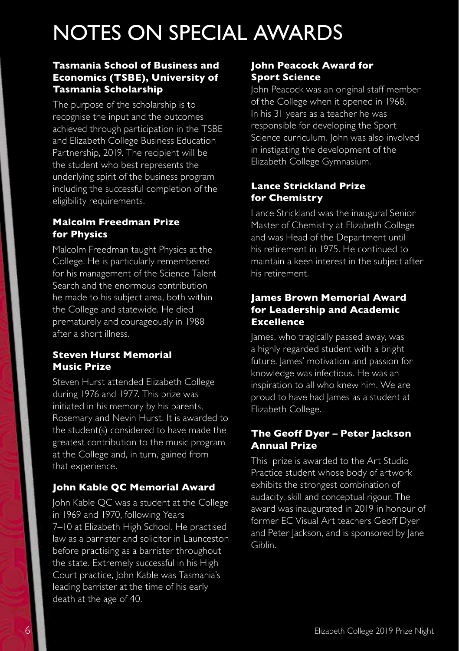# NOTES ON SPECIAL AWARDS

#### **Tasmania School of Business and Economics (TSBE), University of Tasmania Scholarship**

The purpose of the scholarship is to recognise the input and the outcomes achieved through participation in the TSBE and Elizabeth College Business Education Partnership, 2019. The recipient will be the student who best represents the underlying spirit of the business program including the successful completion of the eligibility requirements.

#### **Malcolm Freedman Prize for Physics**

Malcolm Freedman taught Physics at the College. He is particularly remembered for his management of the Science Talent Search and the enormous contribution he made to his subject area, both within the College and statewide. He died prematurely and courageously in 1988 after a short illness.

#### **Steven Hurst Memorial Music Prize**

Steven Hurst attended Elizabeth College during 1976 and 1977. This prize was initiated in his memory by his parents, Rosemary and Nevin Hurst. It is awarded to the student(s) considered to have made the greatest contribution to the music program at the College and, in turn, gained from that experience.

#### **John Kable QC Memorial Award**

John Kable QC was a student at the College in 1969 and 1970, following Years 7–10 at Elizabeth High School. He practised law as a barrister and solicitor in Launceston before practising as a barrister throughout the state. Extremely successful in his High Court practice, John Kable was Tasmania's leading barrister at the time of his early death at the age of 40.

#### **John Peacock Award for Sport Science**

John Peacock was an original staff member of the College when it opened in 1968. In his 31 years as a teacher he was responsible for developing the Sport Science curriculum. John was also involved in instigating the development of the Elizabeth College Gymnasium.

#### **Lance Strickland Prize for Chemistry**

Lance Strickland was the inaugural Senior Master of Chemistry at Elizabeth College and was Head of the Department until his retirement in 1975. He continued to maintain a keen interest in the subject after his retirement.

#### **James Brown Memorial Award for Leadership and Academic Excellence**

James, who tragically passed away, was a highly regarded student with a bright future. James' motivation and passion for knowledge was infectious. He was an inspiration to all who knew him. We are proud to have had James as a student at Elizabeth College.

#### **The Geoff Dyer – Peter Jackson Annual Prize**

This prize is awarded to the Art Studio Practice student whose body of artwork exhibits the strongest combination of audacity, skill and conceptual rigour. The award was inaugurated in 2019 in honour of former EC Visual Art teachers Geoff Dyer and Peter Jackson, and is sponsored by Jane Giblin.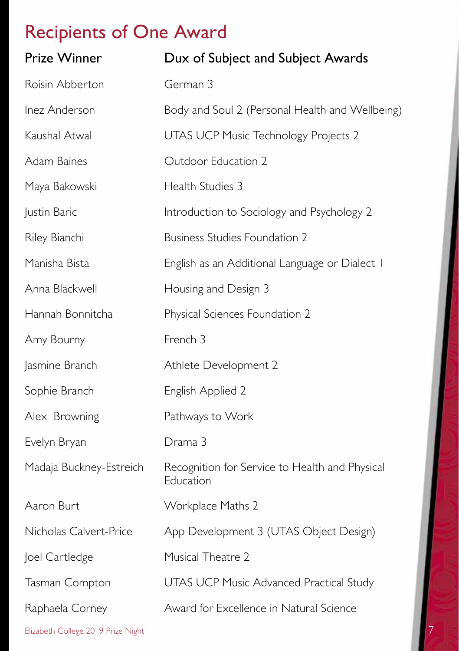| <b>Prize Winner</b>                | Dux of Subject and Subject Awards                           |
|------------------------------------|-------------------------------------------------------------|
| Roisin Abberton                    | German 3                                                    |
| Inez Anderson                      | Body and Soul 2 (Personal Health and Wellbeing)             |
| Kaushal Atwal                      | UTAS UCP Music Technology Projects 2                        |
| Adam Baines                        | Outdoor Education 2                                         |
| Maya Bakowski                      | Health Studies 3                                            |
| Justin Baric                       | Introduction to Sociology and Psychology 2                  |
| Riley Bianchi                      | <b>Business Studies Foundation 2</b>                        |
| Manisha Bista                      | English as an Additional Language or Dialect I              |
| Anna Blackwell                     | Housing and Design 3                                        |
| Hannah Bonnitcha                   | Physical Sciences Foundation 2                              |
| Amy Bourny                         | French 3                                                    |
| Jasmine Branch                     | Athlete Development 2                                       |
| Sophie Branch                      | English Applied 2                                           |
| Alex Browning                      | Pathways to Work                                            |
| Evelyn Bryan                       | Drama 3                                                     |
| Madaja Buckney-Estreich            | Recognition for Service to Health and Physical<br>Education |
| Aaron Burt                         | Workplace Maths 2                                           |
| Nicholas Calvert-Price             | App Development 3 (UTAS Object Design)                      |
| Joel Cartledge                     | Musical Theatre 2                                           |
| Tasman Compton                     | <b>UTAS UCP Music Advanced Practical Study</b>              |
| Raphaela Corney                    | Award for Excellence in Natural Science                     |
| Elizabeth College 2019 Prize Night |                                                             |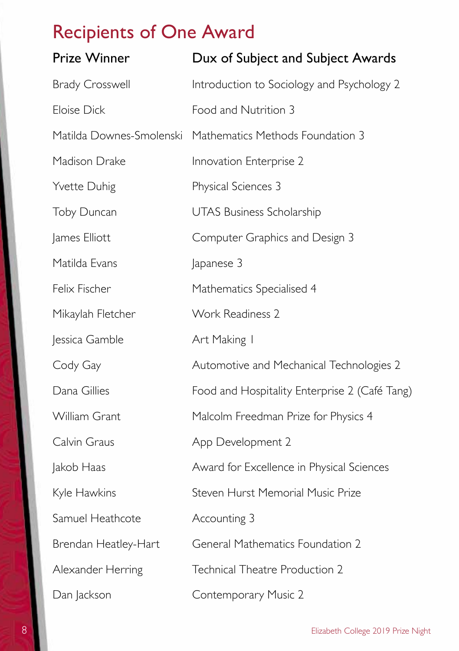| <b>Prize Winner</b>      | Dux of Subject and Subject Awards             |
|--------------------------|-----------------------------------------------|
| <b>Brady Crosswell</b>   | Introduction to Sociology and Psychology 2    |
| Eloise Dick              | Food and Nutrition 3                          |
| Matilda Downes-Smolenski | Mathematics Methods Foundation 3              |
| Madison Drake            | Innovation Enterprise 2                       |
| Yvette Duhig             | Physical Sciences 3                           |
| Toby Duncan              | <b>UTAS Business Scholarship</b>              |
| James Elliott            | Computer Graphics and Design 3                |
| Matilda Evans            | Japanese 3                                    |
| Felix Fischer            | Mathematics Specialised 4                     |
| Mikaylah Fletcher        | Work Readiness 2                              |
| Jessica Gamble           | Art Making I                                  |
| Cody Gay                 | Automotive and Mechanical Technologies 2      |
| Dana Gillies             | Food and Hospitality Enterprise 2 (Café Tang) |
| William Grant            | Malcolm Freedman Prize for Physics 4          |
| Calvin Graus             | App Development 2                             |
| Jakob Haas               | Award for Excellence in Physical Sciences     |
| Kyle Hawkins             | Steven Hurst Memorial Music Prize             |
| Samuel Heathcote         | Accounting 3                                  |
| Brendan Heatley-Hart     | General Mathematics Foundation 2              |
| Alexander Herring        | Technical Theatre Production 2                |
| Dan Jackson              | Contemporary Music 2                          |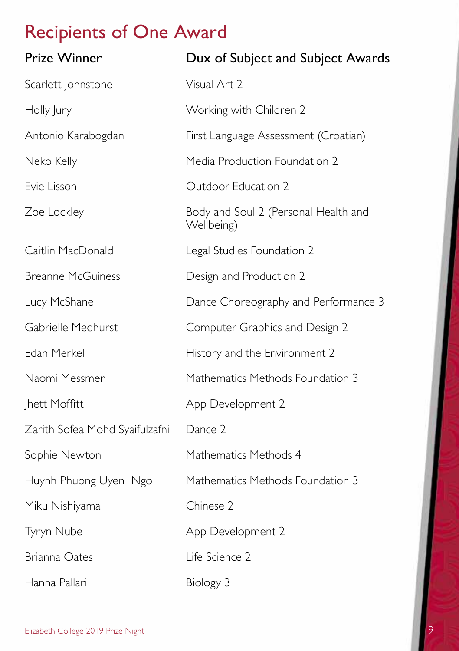| <b>Prize Winner</b>            | Dux of Subject and Subject Awards                  |
|--------------------------------|----------------------------------------------------|
| Scarlett Johnstone             | Visual Art 2                                       |
| Holly Jury                     | Working with Children 2                            |
| Antonio Karabogdan             | First Language Assessment (Croatian)               |
| Neko Kelly                     | Media Production Foundation 2                      |
| Evie Lisson                    | Outdoor Education 2                                |
| Zoe Lockley                    | Body and Soul 2 (Personal Health and<br>Wellbeing) |
| Caitlin MacDonald              | Legal Studies Foundation 2                         |
| <b>Breanne McGuiness</b>       | Design and Production 2                            |
| Lucy McShane                   | Dance Choreography and Performance 3               |
| Gabrielle Medhurst             | Computer Graphics and Design 2                     |
| Edan Merkel                    | History and the Environment 2                      |
| Naomi Messmer                  | Mathematics Methods Foundation 3                   |
| Jhett Moffitt                  | App Development 2                                  |
| Zarith Sofea Mohd Syaifulzafni | Dance 2                                            |
| Sophie Newton                  | Mathematics Methods 4                              |
| Huynh Phuong Uyen Ngo          | Mathematics Methods Foundation 3                   |
| Miku Nishiyama                 | Chinese 2                                          |
| Tyryn Nube                     | App Development 2                                  |
| <b>Brianna Oates</b>           | Life Science 2                                     |
| Hanna Pallari                  | Biology 3                                          |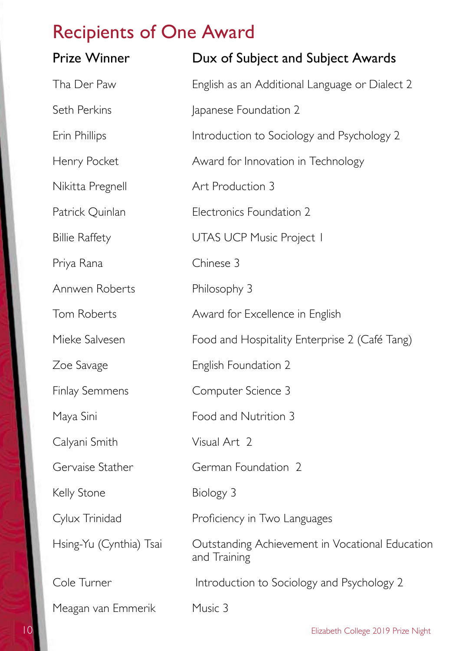| <b>Prize Winner</b>     | Dux of Subject and Subject Awards                               |
|-------------------------|-----------------------------------------------------------------|
| Tha Der Paw             | English as an Additional Language or Dialect 2                  |
| Seth Perkins            | Japanese Foundation 2                                           |
| Erin Phillips           | Introduction to Sociology and Psychology 2                      |
| Henry Pocket            | Award for Innovation in Technology                              |
| Nikitta Pregnell        | Art Production 3                                                |
| Patrick Quinlan         | Electronics Foundation 2                                        |
| <b>Billie Raffety</b>   | UTAS UCP Music Project I                                        |
| Priya Rana              | Chinese 3                                                       |
| Annwen Roberts          | Philosophy 3                                                    |
| Tom Roberts             | Award for Excellence in English                                 |
| Mieke Salvesen          | Food and Hospitality Enterprise 2 (Café Tang)                   |
| Zoe Savage              | English Foundation 2                                            |
| <b>Finlay Semmens</b>   | Computer Science 3                                              |
| Maya Sini               | Food and Nutrition 3                                            |
| Calyani Smith           | Visual Art 2                                                    |
| Gervaise Stather        | German Foundation 2                                             |
| Kelly Stone             | Biology 3                                                       |
| Cylux Trinidad          | Proficiency in Two Languages                                    |
| Hsing-Yu (Cynthia) Tsai | Outstanding Achievement in Vocational Education<br>and Training |
| Cole Turner             | Introduction to Sociology and Psychology 2                      |
| Meagan van Emmerik      | Music 3                                                         |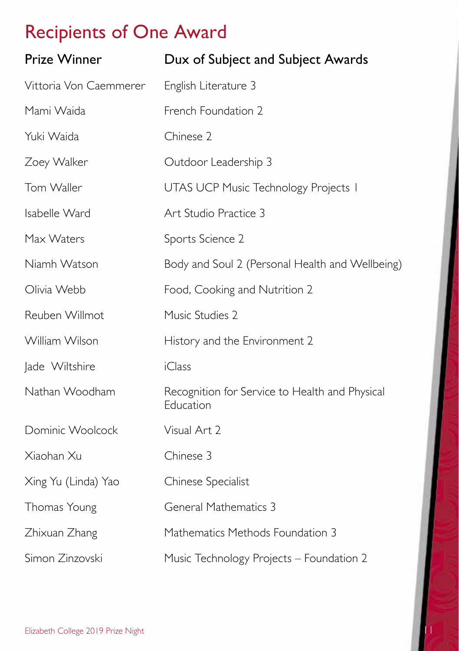| <b>Prize Winner</b>    | Dux of Subject and Subject Awards                           |
|------------------------|-------------------------------------------------------------|
| Vittoria Von Caemmerer | English Literature 3                                        |
| Mami Waida             | French Foundation 2                                         |
| Yuki Waida             | Chinese 2                                                   |
| Zoey Walker            | Outdoor Leadership 3                                        |
| Tom Waller             | UTAS UCP Music Technology Projects I                        |
| Isabelle Ward          | Art Studio Practice 3                                       |
| Max Waters             | Sports Science 2                                            |
| Niamh Watson           | Body and Soul 2 (Personal Health and Wellbeing)             |
| Olivia Webb            | Food, Cooking and Nutrition 2                               |
| Reuben Willmot         | Music Studies 2                                             |
| William Wilson         | History and the Environment 2                               |
| Jade Wiltshire         | <i>i</i> Class                                              |
| Nathan Woodham         | Recognition for Service to Health and Physical<br>Education |
| Dominic Woolcock       | Visual Art 2                                                |
| Xiaohan Xu             | Chinese 3                                                   |
| Xing Yu (Linda) Yao    | Chinese Specialist                                          |
| Thomas Young           | <b>General Mathematics 3</b>                                |
| Zhixuan Zhang          | Mathematics Methods Foundation 3                            |
| Simon Zinzovski        | Music Technology Projects - Foundation 2                    |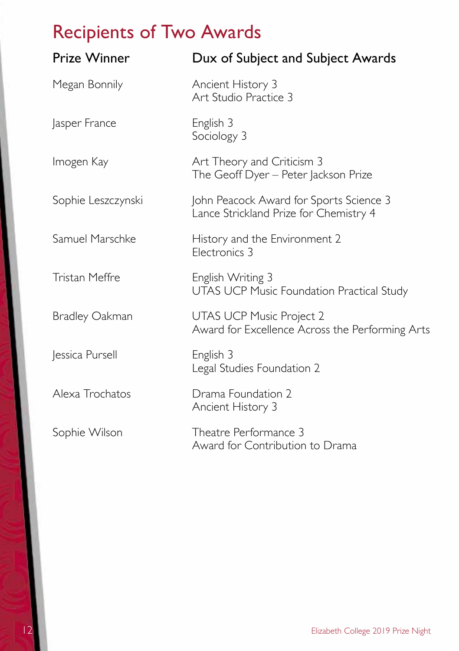# Recipients of Two Awards

| <b>Prize Winner</b>   | Dux of Subject and Subject Awards                                                  |
|-----------------------|------------------------------------------------------------------------------------|
| Megan Bonnily         | Ancient History 3<br>Art Studio Practice 3                                         |
| Jasper France         | English 3<br>Sociology 3                                                           |
| Imogen Kay            | Art Theory and Criticism 3<br>The Geoff Dyer - Peter Jackson Prize                 |
| Sophie Leszczynski    | John Peacock Award for Sports Science 3<br>Lance Strickland Prize for Chemistry 4  |
| Samuel Marschke       | History and the Environment 2<br>Electronics 3                                     |
| <b>Tristan Meffre</b> | English Writing 3<br><b>UTAS UCP Music Foundation Practical Study</b>              |
| <b>Bradley Oakman</b> | <b>UTAS UCP Music Project 2</b><br>Award for Excellence Across the Performing Arts |
| Jessica Pursell       | English 3<br>Legal Studies Foundation 2                                            |
| Alexa Trochatos       | Drama Foundation 2<br>Ancient History 3                                            |
| Sophie Wilson         | Theatre Performance 3<br>Award for Contribution to Drama                           |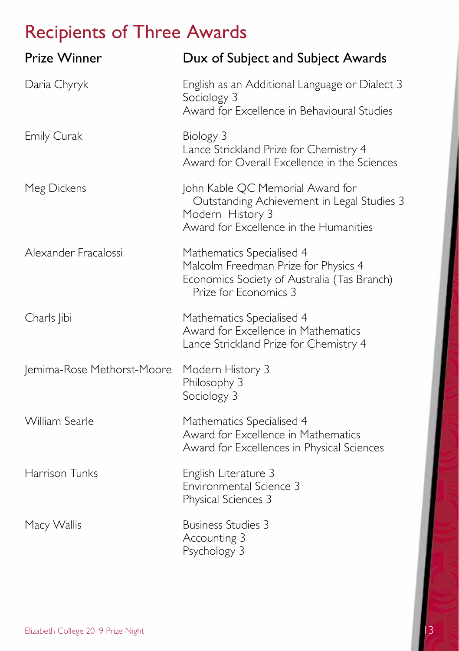# Recipients of Three Awards

| <b>Prize Winner</b>        | Dux of Subject and Subject Awards                                                                                                            |
|----------------------------|----------------------------------------------------------------------------------------------------------------------------------------------|
| Daria Chyryk               | English as an Additional Language or Dialect 3<br>Sociology 3<br>Award for Excellence in Behavioural Studies                                 |
| <b>Emily Curak</b>         | Biology 3<br>Lance Strickland Prize for Chemistry 4<br>Award for Overall Excellence in the Sciences                                          |
| Meg Dickens                | John Kable QC Memorial Award for<br>Outstanding Achievement in Legal Studies 3<br>Modern History 3<br>Award for Excellence in the Humanities |
| Alexander Fracalossi       | Mathematics Specialised 4<br>Malcolm Freedman Prize for Physics 4<br>Economics Society of Australia (Tas Branch)<br>Prize for Economics 3    |
| Charls Jibi                | Mathematics Specialised 4<br>Award for Excellence in Mathematics<br>Lance Strickland Prize for Chemistry 4                                   |
| Jemima-Rose Methorst-Moore | Modern History 3<br>Philosophy 3<br>Sociology 3                                                                                              |
| William Searle             | Mathematics Specialised 4<br>Award for Excellence in Mathematics<br>Award for Excellences in Physical Sciences                               |
| Harrison Tunks             | English Literature 3<br>Environmental Science 3<br>Physical Sciences 3                                                                       |
| Macy Wallis                | <b>Business Studies 3</b><br>Accounting 3<br>Psychology 3                                                                                    |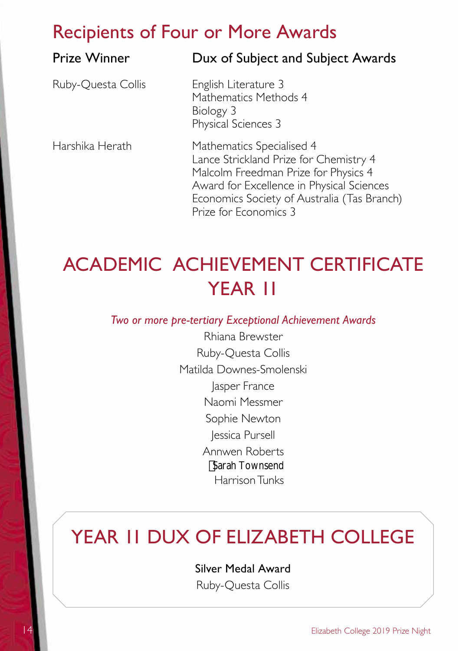### Recipients of Four or More Awards

### Prize Winner **Dux of Subject and Subject Awards**

Ruby-Ouesta Collis English Literature 3

Mathematics Methods 4 Biology 3 Physical Sciences 3

Harshika Herath Mathematics Specialised 4 Lance Strickland Prize for Chemistry 4 Malcolm Freedman Prize for Physics 4 Award for Excellence in Physical Sciences Economics Society of Australia (Tas Branch) Prize for Economics 3

# ACADEMIC ACHIEVEMENT CERTIFICATE YEAR 11

*Two or more pre-tertiary Exceptional Achievement Awards*

Rhiana Brewster Ruby-Questa Collis Matilda Downes-Smolenski Jasper France Naomi Messmer Sophie Newton Jessica Pursell Annwen Roberts Harrison Tunks Sarah Townsend

# YEAR II DUX OF ELIZABETH COLLEGE

Silver Medal Award

Ruby-Questa Collis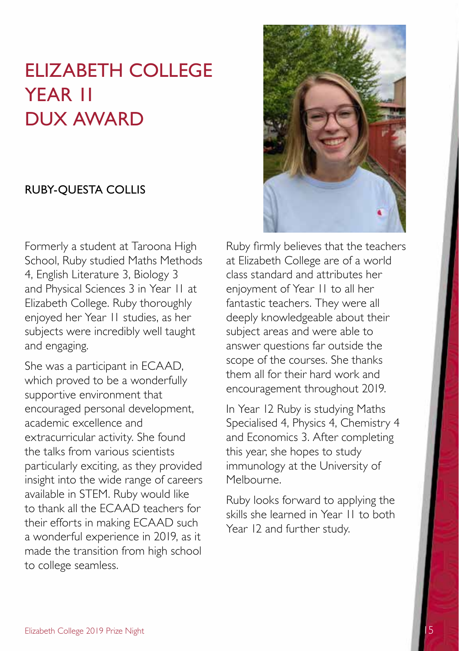# ELIZABETH COLLEGE YEAR 11 DUX AWARD

#### RUBY-QUESTA COLLIS

Formerly a student at Taroona High School, Ruby studied Maths Methods 4, English Literature 3, Biology 3 and Physical Sciences 3 in Year 11 at Elizabeth College. Ruby thoroughly enjoyed her Year 11 studies, as her subjects were incredibly well taught and engaging.

She was a participant in ECAAD, which proved to be a wonderfully supportive environment that encouraged personal development, academic excellence and extracurricular activity. She found the talks from various scientists particularly exciting, as they provided insight into the wide range of careers available in STEM. Ruby would like to thank all the ECAAD teachers for their efforts in making ECAAD such a wonderful experience in 2019, as it made the transition from high school to college seamless.



Ruby firmly believes that the teachers at Elizabeth College are of a world class standard and attributes her enjoyment of Year 11 to all her fantastic teachers. They were all deeply knowledgeable about their subject areas and were able to answer questions far outside the scope of the courses. She thanks them all for their hard work and encouragement throughout 2019.

In Year 12 Ruby is studying Maths Specialised 4, Physics 4, Chemistry 4 and Economics 3. After completing this year, she hopes to study immunology at the University of Melbourne.

Ruby looks forward to applying the skills she learned in Year 11 to both Year 12 and further study.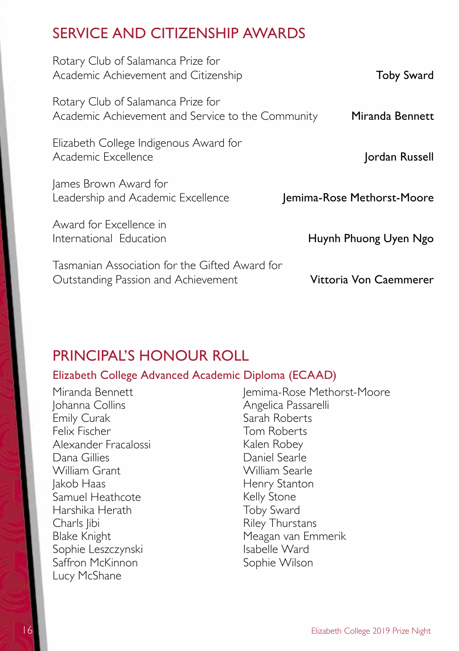### SERVICE AND CITIZENSHIP AWARDS

| Rotary Club of Salamanca Prize for<br>Academic Achievement and Citizenship              | <b>Toby Sward</b>          |
|-----------------------------------------------------------------------------------------|----------------------------|
| Rotary Club of Salamanca Prize for<br>Academic Achievement and Service to the Community | Miranda Bennett            |
| Elizabeth College Indigenous Award for<br>Academic Excellence                           | Jordan Russell             |
| James Brown Award for<br>Leadership and Academic Excellence                             | Jemima-Rose Methorst-Moore |
| Award for Excellence in<br>International Education                                      | Huynh Phuong Uyen Ngo      |
| Tasmanian Association for the Gifted Award for<br>Outstanding Passion and Achievement   | Vittoria Von Caemmerer     |

### PRINCIPAL'S HONOUR ROLL

#### Elizabeth College Advanced Academic Diploma (ECAAD)

Miranda Bennett Johanna Collins Emily Curak Felix Fischer Alexander Fracalossi Dana Gillies William Grant Jakob Haas Samuel Heathcote Harshika Herath Charls libi Blake Knight Sophie Leszczynski Saffron McKinnon Lucy McShane

Jemima-Rose Methorst-Moore Angelica Passarelli Sarah Roberts Tom Roberts Kalen Robey Daniel Searle William Searle Henry Stanton Kelly Stone Toby Sward Riley Thurstans Meagan van Emmerik Isabelle Ward Sophie Wilson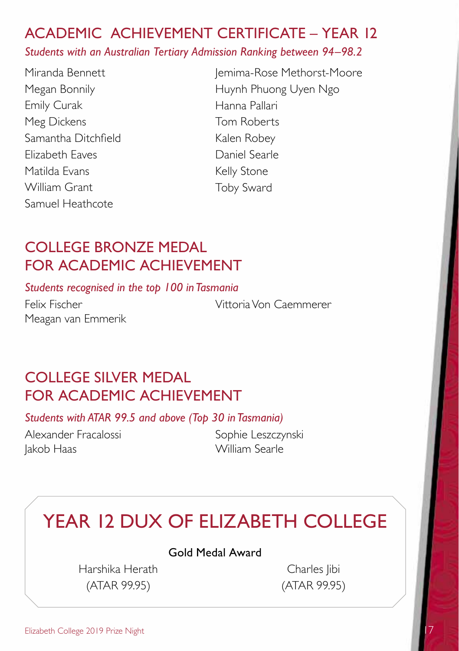### ACADEMIC ACHIEVEMENT CERTIFICATE – YEAR 12

*Students with an Australian Tertiary Admission Ranking between 94–98.2* 

Miranda Bennett Megan Bonnily Emily Curak Meg Dickens Samantha Ditchfield Elizabeth Eaves Matilda Evans William Grant Samuel Heathcote

Jemima-Rose Methorst-Moore Huynh Phuong Uyen Ngo Hanna Pallari Tom Roberts Kalen Robey Daniel Searle Kelly Stone Toby Sward

### COLLEGE BRONZE MEDAL FOR ACADEMIC ACHIEVEMENT

*Students recognised in the top 100 in Tasmania* 

Meagan van Emmerik

Felix Fischer Vittoria Von Caemmerer

### COLLEGE SILVER MEDAL FOR ACADEMIC ACHIEVEMENT

*Students with ATAR 99.5 and above (Top 30 in Tasmania)* 

Alexander Fracalossi Sophie Leszczynski Jakob Haas William Searle

# YEAR 12 DUX OF ELIZABETH COLLEGE

#### Gold Medal Award

Harshika Herath Charles Jibi (ATAR 99.95) (ATAR 99.95)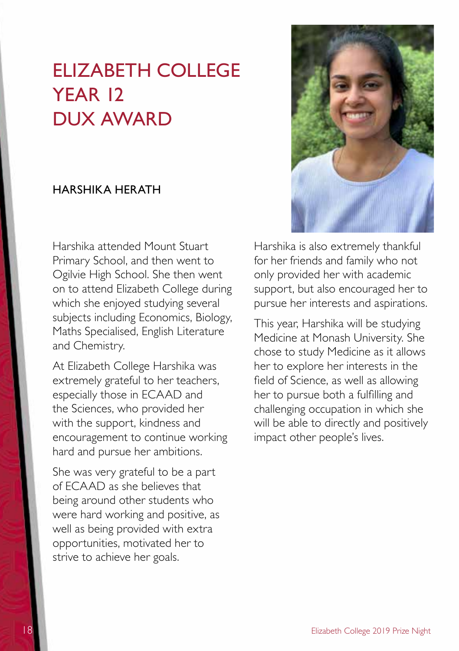## ELIZABETH COLLEGE YFAR 12 DUX AWARD

#### HARSHIKA HERATH

Harshika attended Mount Stuart Primary School, and then went to Ogilvie High School. She then went on to attend Elizabeth College during which she enjoyed studying several subjects including Economics, Biology, Maths Specialised, English Literature and Chemistry.

At Elizabeth College Harshika was extremely grateful to her teachers, especially those in ECAAD and the Sciences, who provided her with the support, kindness and encouragement to continue working hard and pursue her ambitions.

She was very grateful to be a part of ECAAD as she believes that being around other students who were hard working and positive, as well as being provided with extra opportunities, motivated her to strive to achieve her goals.



Harshika is also extremely thankful for her friends and family who not only provided her with academic support, but also encouraged her to pursue her interests and aspirations.

This year, Harshika will be studying Medicine at Monash University. She chose to study Medicine as it allows her to explore her interests in the field of Science, as well as allowing her to pursue both a fulfilling and challenging occupation in which she will be able to directly and positively impact other people's lives.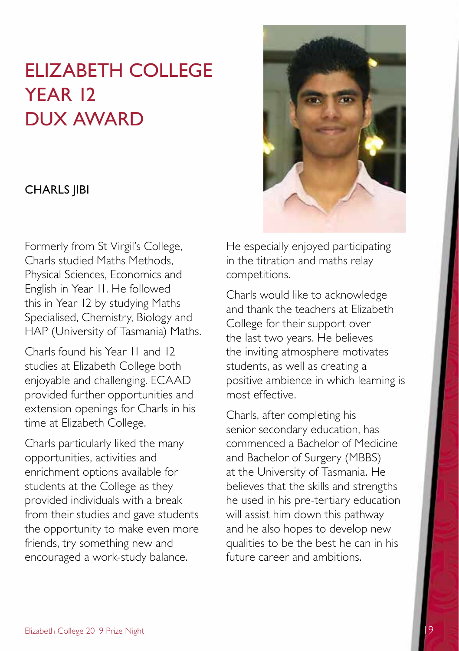# ELIZABETH COLLEGE YEAR 12 DUX AWARD

#### CHARLS JIBI

Formerly from St Virgil's College, Charls studied Maths Methods, Physical Sciences, Economics and English in Year 11. He followed this in Year 12 by studying Maths Specialised, Chemistry, Biology and HAP (University of Tasmania) Maths.

Charls found his Year 11 and 12 studies at Elizabeth College both enjoyable and challenging. ECAAD provided further opportunities and extension openings for Charls in his time at Elizabeth College.

Charls particularly liked the many opportunities, activities and enrichment options available for students at the College as they provided individuals with a break from their studies and gave students the opportunity to make even more friends, try something new and encouraged a work-study balance.



He especially enjoyed participating in the titration and maths relay competitions.

Charls would like to acknowledge and thank the teachers at Elizabeth College for their support over the last two years. He believes the inviting atmosphere motivates students, as well as creating a positive ambience in which learning is most effective.

Charls, after completing his senior secondary education, has commenced a Bachelor of Medicine and Bachelor of Surgery (MBBS) at the University of Tasmania. He believes that the skills and strengths he used in his pre-tertiary education will assist him down this pathway and he also hopes to develop new qualities to be the best he can in his future career and ambitions.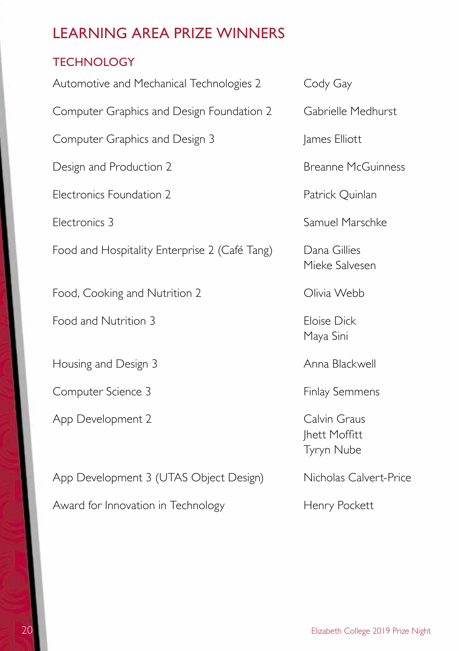### **TECHNOLOGY**

| Automotive and Mechanical Technologies 2      | Cody Gay                                           |
|-----------------------------------------------|----------------------------------------------------|
| Computer Graphics and Design Foundation 2     | Gabrielle Medhurst                                 |
| Computer Graphics and Design 3                | James Elliott                                      |
| Design and Production 2                       | <b>Breanne McGuinness</b>                          |
| Electronics Foundation 2                      | Patrick Quinlan                                    |
| Electronics 3                                 | Samuel Marschke                                    |
| Food and Hospitality Enterprise 2 (Café Tang) | Dana Gillies<br>Mieke Salvesen                     |
| Food, Cooking and Nutrition 2                 | Olivia Webb                                        |
| Food and Nutrition 3                          | <b>Eloise Dick</b><br>Maya Sini                    |
| Housing and Design 3                          | Anna Blackwell                                     |
| Computer Science 3                            | <b>Finlay Semmens</b>                              |
| App Development 2                             | Calvin Graus<br><b>Ihett Moffitt</b><br>Tyryn Nube |
| App Development 3 (UTAS Object Design)        | Nicholas Calvert-Price                             |
| Award for Innovation in Technology            | Henry Pockett                                      |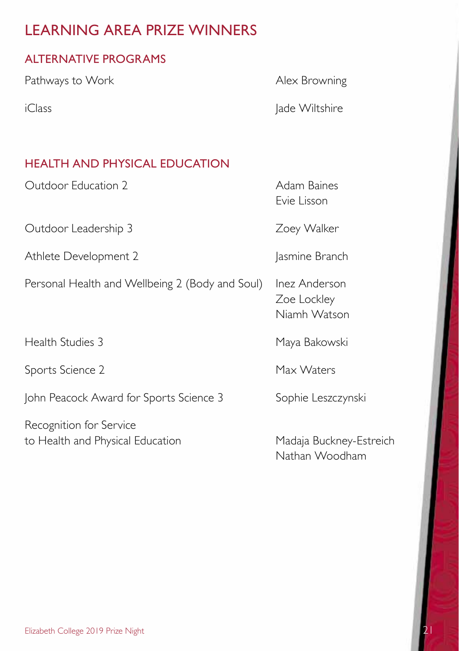### ALTERNATIVE PROGRAMS

Pathways to Work **Alex Browning** 

iClass and the late Wiltshire and the lade Wiltshire

### HEALTH AND PHYSICAL EDUCATION

Outdoor Education 2 Adam Baines

Outdoor Leadership 3 Zoey Walker

Athlete Development 2 Jasmine Branch

Personal Health and Wellbeing 2 (Body and Soul) Inez Anderson

Health Studies 3 Maya Bakowski

Sports Science 2 Max Waters

John Peacock Award for Sports Science 3 Sophie Leszczynski

Recognition for Service to Health and Physical Education Madaja Buckney-Estreich

Evie Lisson

Zoe Lockley Niamh Watson

Nathan Woodham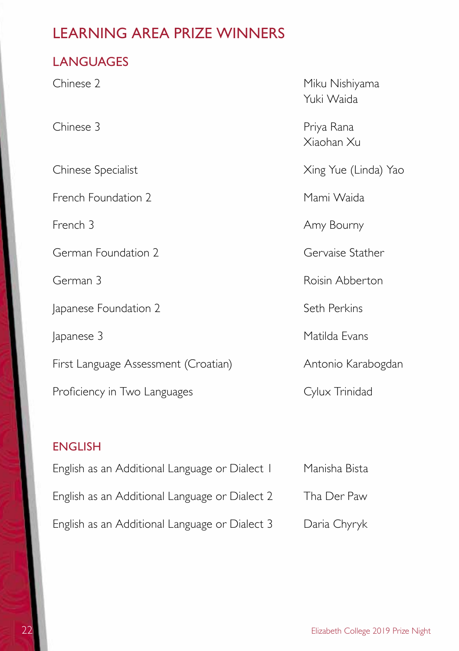### **LANGUAGES**

| Miku Nishiyama<br>Yuki Waida |
|------------------------------|
| Priya Rana<br>Xiaohan Xu     |
| Xing Yue (Linda) Yao         |
| Mami Waida                   |
| Amy Bourny                   |
| Gervaise Stather             |
| Roisin Abberton              |
| Seth Perkins                 |
| Matilda Evans                |
| Antonio Karabogdan           |
| Cylux Trinidad               |
|                              |

### ENGLISH

| English as an Additional Language or Dialect I | Manisha Bista |
|------------------------------------------------|---------------|
| English as an Additional Language or Dialect 2 | Tha Der Paw   |
| English as an Additional Language or Dialect 3 | Daria Chyryk  |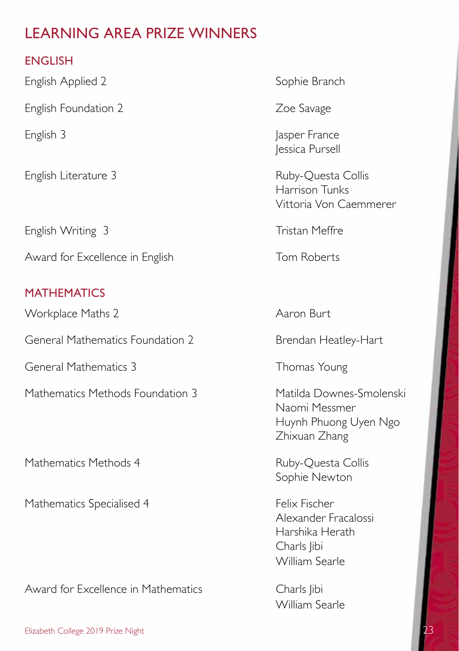### ENGLISH

English Applied 2 Sophie Branch

English Foundation 2 **Zoe Savage** 

English Writing 3 Tristan Meffre

Award for Excellence in English Tom Roberts

### **MATHEMATICS**

Workplace Maths 2 Aaron Burt

General Mathematics Foundation 2 Brendan Heatley-Hart

General Mathematics 3 Thomas Young

Mathematics Methods Foundation 3 Matilda Downes-Smolenski

Mathematics Methods 4 Ruby-Questa Collis

Mathematics Specialised 4 Felix Fischer

Award for Excellence in Mathematics Charls Jibi

English 3 Jasper France Jessica Pursell

English Literature 3 Ruby-Ouesta Collis Harrison Tunks Vittoria Von Caemmerer

Naomi Messmer Huynh Phuong Uyen Ngo Zhixuan Zhang

Sophie Newton

Alexander Fracalossi Harshika Herath Charls libi William Searle

William Searle

Elizabeth College 2019 Prize Night 23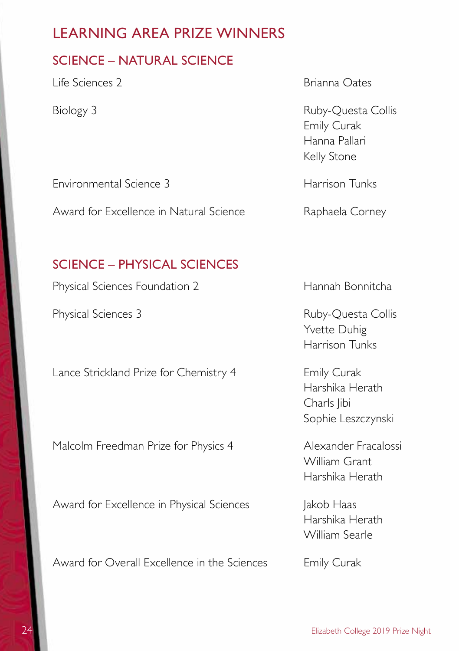#### SCIENCE – NATURAL SCIENCE

Life Sciences 2 Brianna Oates

Biology 3 Ruby-Questa Collis Emily Curak Hanna Pallari Kelly Stone

Environmental Science 3 Harrison Tunks

Award for Excellence in Natural Science Raphaela Corney

#### SCIENCE – PHYSICAL SCIENCES

Physical Sciences Foundation 2 Hannah Bonnitcha

Physical Sciences 3 Ruby-Questa Collis

Lance Strickland Prize for Chemistry 4 Emily Curak

Malcolm Freedman Prize for Physics 4 Alexander Fracalossi

Award for Excellence in Physical Sciences and Jakob Haas

Award for Overall Excellence in the Sciences Emily Curak

Yvette Duhig Harrison Tunks

Harshika Herath Charls libi Sophie Leszczynski

William Grant Harshika Herath

Harshika Herath William Searle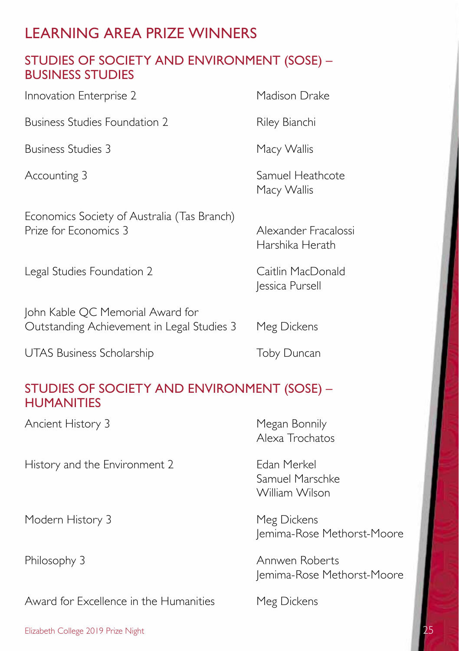### STUDIES OF SOCIETY AND ENVIRONMENT (SOSE) – BUSINESS STUDIES

Innovation Enterprise 2 Madison Drake

Business Studies Foundation 2 Riley Bianchi

Business Studies 3 Macy Wallis

Economics Society of Australia (Tas Branch) Prize for Economics 3 Alexander Fracalossi

Legal Studies Foundation 2 Caitlin MacDonald

John Kable QC Memorial Award for Outstanding Achievement in Legal Studies 3 Meg Dickens

UTAS Business Scholarship Toby Duncan

### STUDIES OF SOCIETY AND ENVIRONMENT (SOSE) – **HUMANITIES**

Ancient History 3 Megan Bonnily

History and the Environment 2 Edan Merkel

Modern History 3 Meg Dickens

Award for Excellence in the Humanities Meg Dickens

Alexa Trochatos

Samuel Marschke William Wilson

Jemima-Rose Methorst-Moore

Philosophy 3 Annwen Roberts Jemima-Rose Methorst-Moore

Elizabeth College 2019 Prize Night

Accounting 3 Samuel Heathcote Macy Wallis

Harshika Herath

Jessica Pursell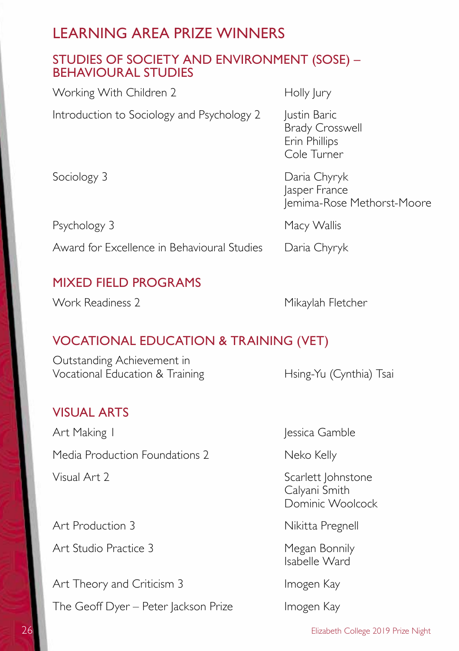#### STUDIES OF SOCIETY AND ENVIRONMENT (SOSE) – BEHAVIOURAL STUDIES

| Working With Children 2                     | Holly Jury                                                             |
|---------------------------------------------|------------------------------------------------------------------------|
| Introduction to Sociology and Psychology 2  | Justin Baric<br><b>Brady Crosswell</b><br>Erin Phillips<br>Cole Turner |
| Sociology 3                                 | Daria Chyryk<br>Jasper France<br>Jemima-Rose Methorst-Moore            |
| Psychology 3                                | Macy Wallis                                                            |
| Award for Excellence in Behavioural Studies | Daria Chyryk                                                           |
|                                             |                                                                        |

### MIXED FIELD PROGRAMS

Work Readiness 2 Mikaylah Fletcher

### VOCATIONAL EDUCATION & TRAINING (VET)

Outstanding Achievement in Vocational Education & Training Hsing-Yu (Cynthia) Tsai

#### VISUAL ARTS

Art Making I Jessica Gamble Media Production Foundations 2 Neko Kelly

Art Production 3 Nikitta Pregnell

Art Studio Practice 3 Megan Bonnily

Art Theory and Criticism 3 Imogen Kay

The Geoff Dyer – Peter Jackson Prize Imogen Kay

Visual Art 2 Scarlett Johnstone Calyani Smith Dominic Woolcock

Isabelle Ward

26 Elizabeth College 2019 Prize Night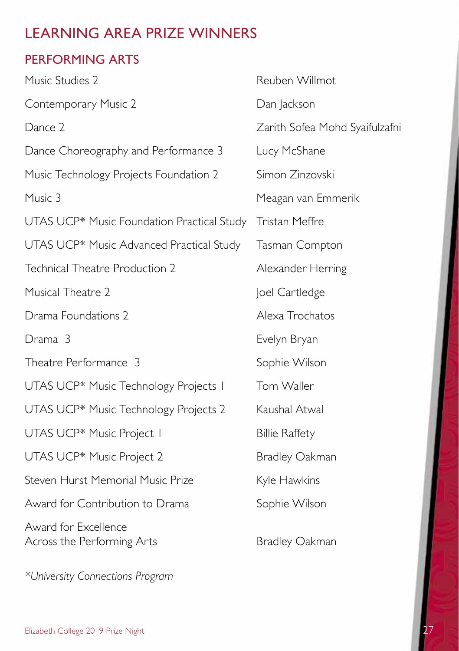### PERFORMING ARTS

| Music Studies 2                                    | Reuben Willmot                 |
|----------------------------------------------------|--------------------------------|
| Contemporary Music 2                               | Dan Jackson                    |
| Dance 2                                            | Zarith Sofea Mohd Syaifulzafni |
| Dance Choreography and Performance 3               | Lucy McShane                   |
| Music Technology Projects Foundation 2             | Simon Zinzovski                |
| Music 3                                            | Meagan van Emmerik             |
| UTAS UCP* Music Foundation Practical Study         | Tristan Meffre                 |
| UTAS UCP* Music Advanced Practical Study           | Tasman Compton                 |
| Technical Theatre Production 2                     | Alexander Herring              |
| Musical Theatre 2                                  | Joel Cartledge                 |
| Drama Foundations 2                                | Alexa Trochatos                |
| Drama 3                                            | Evelyn Bryan                   |
| Theatre Performance 3                              | Sophie Wilson                  |
| UTAS UCP* Music Technology Projects I              | Tom Waller                     |
| UTAS UCP* Music Technology Projects 2              | Kaushal Atwal                  |
| UTAS UCP* Music Project I                          | <b>Billie Raffety</b>          |
| UTAS UCP* Music Project 2                          | <b>Bradley Oakman</b>          |
| Steven Hurst Memorial Music Prize                  | Kyle Hawkins                   |
| Award for Contribution to Drama                    | Sophie Wilson                  |
| Award for Excellence<br>Across the Performing Arts | <b>Bradley Oakman</b>          |

*\*University Connections Program*